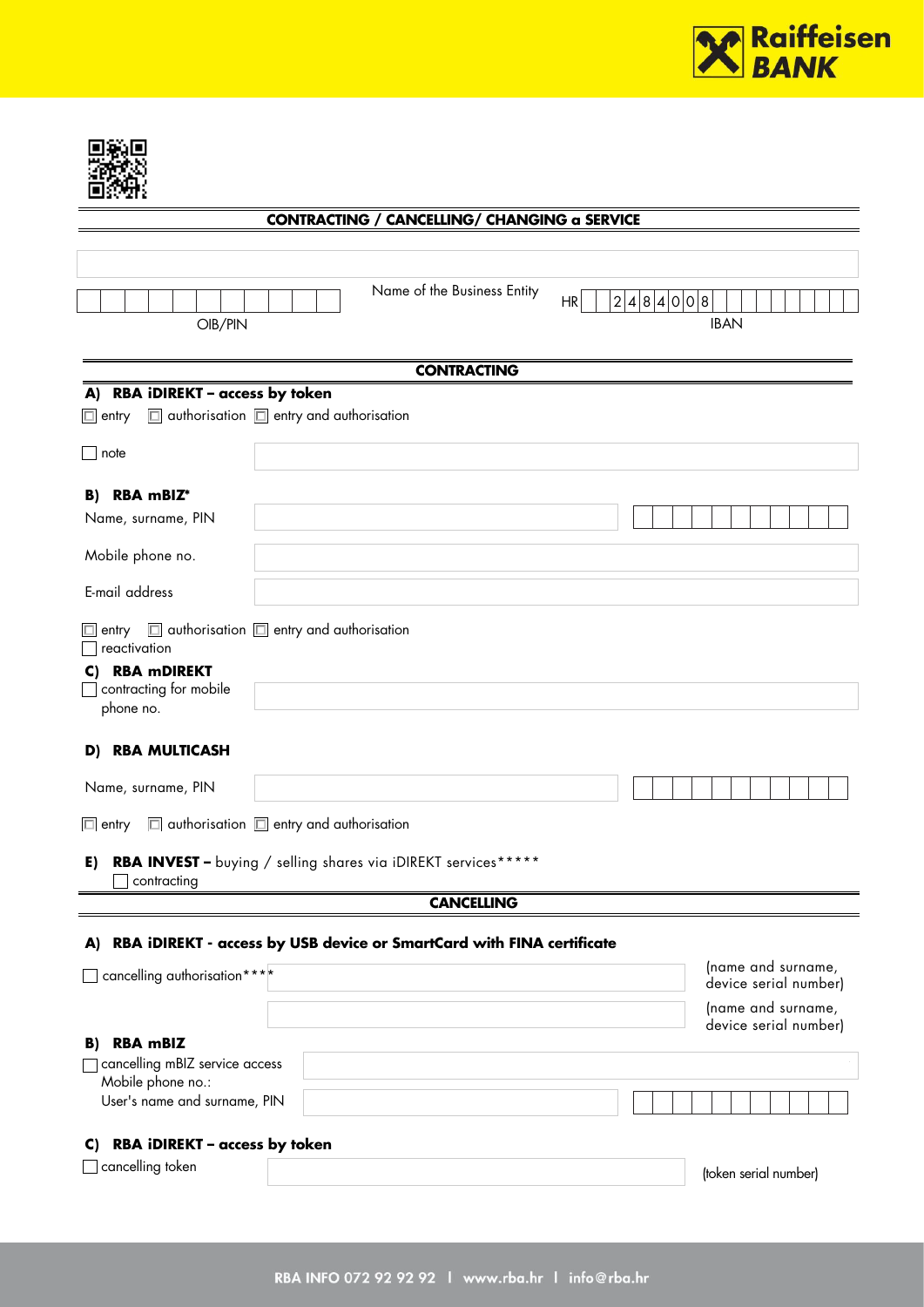

## **CONTRACTING / CANCELLING/ CHANGING a SERVICE**

| OIB/PIN                                                                          | Name of the Business Entity                                           | 2 4 8 4 0 0 8 <br>HR<br><b>IBAN</b>         |
|----------------------------------------------------------------------------------|-----------------------------------------------------------------------|---------------------------------------------|
|                                                                                  |                                                                       |                                             |
| RBA iDIREKT - access by token<br>A)                                              | <b>CONTRACTING</b>                                                    |                                             |
| $\Box$ authorisation $\Box$ entry and authorisation<br>$\Box$ entry              |                                                                       |                                             |
| $\overline{\phantom{a}}$ note                                                    |                                                                       |                                             |
|                                                                                  |                                                                       |                                             |
| B) RBA mBIZ*<br>Name, surname, PIN                                               |                                                                       |                                             |
|                                                                                  |                                                                       |                                             |
| Mobile phone no.                                                                 |                                                                       |                                             |
| E-mail address                                                                   |                                                                       |                                             |
| $\Box$ entry $\Box$ authorisation $\Box$ entry and authorisation<br>reactivation |                                                                       |                                             |
| C) RBA mDIREKT<br>contracting for mobile                                         |                                                                       |                                             |
| phone no.<br><b>RBA MULTICASH</b><br>D)                                          |                                                                       |                                             |
|                                                                                  |                                                                       |                                             |
| Name, surname, PIN                                                               |                                                                       |                                             |
| $\Box$ authorisation $\Box$ entry and authorisation<br>$\Box$ entry              |                                                                       |                                             |
| E)                                                                               | RBA INVEST - buying / selling shares via iDIREKT services******       |                                             |
| contracting                                                                      | <b>CANCELLING</b>                                                     |                                             |
|                                                                                  |                                                                       |                                             |
| A)                                                                               | RBA IDIREKT - access by USB device or SmartCard with FINA certificate |                                             |
| cancelling authorisation ****                                                    |                                                                       | (name and surname,<br>device serial number) |
|                                                                                  |                                                                       | (name and surname,<br>device serial number) |
| <b>RBA mBIZ</b><br>B)                                                            |                                                                       |                                             |
| cancelling mBIZ service access<br>Mobile phone no.:                              |                                                                       |                                             |
| User's name and surname, PIN                                                     |                                                                       |                                             |
| RBA iDIREKT - access by token<br>C)                                              |                                                                       |                                             |
| $\Box$ cancelling token                                                          |                                                                       | (token serial number)                       |